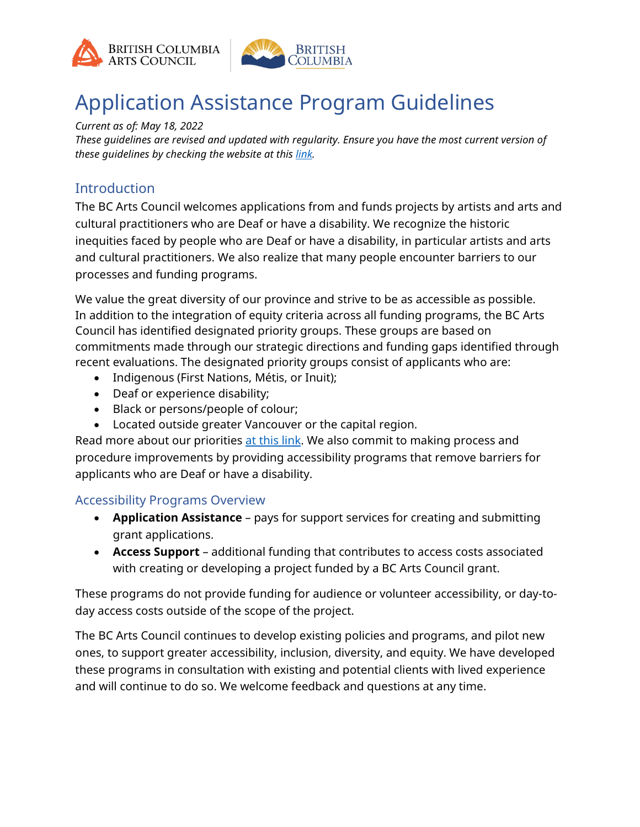



# Application Assistance Program Guidelines

*Current as of: May 18, 2022*

*These guidelines are revised and updated with regularity. Ensure you have the most current version of these guidelines by checking the website at this [link.](https://www.bcartscouncil.ca/program/application-assistance/)*

## **Introduction**

The BC Arts Council welcomes applications from and funds projects by artists and arts and cultural practitioners who are Deaf or have a disability. We recognize the historic inequities faced by people who are Deaf or have a disability, in particular artists and arts and cultural practitioners. We also realize that many people encounter barriers to our processes and funding programs.

We value the great diversity of our province and strive to be as accessible as possible. In addition to the integration of equity criteria across all funding programs, the BC Arts Council has identified designated priority groups. These groups are based on commitments made through our strategic directions and funding gaps identified through recent evaluations. The designated priority groups consist of applicants who are:

- Indigenous (First Nations, Métis, or Inuit);
- Deaf or experience disability;
- Black or persons/people of colour;
- Located outside greater Vancouver or the capital region.

Read more about our priorities <u>at this link</u>. We also commit to making process and procedure improvements by providing accessibility programs that remove barriers for applicants who are Deaf or have a disability.

#### Accessibility Programs Overview

- **Application Assistance** pays for support services for creating and submitting grant applications.
- **Access Support** additional funding that contributes to access costs associated with creating or developing a project funded by a BC Arts Council grant.

These programs do not provide funding for audience or volunteer accessibility, or day-today access costs outside of the scope of the project.

The BC Arts Council continues to develop existing policies and programs, and pilot new ones, to support greater accessibility, inclusion, diversity, and equity. We have developed these programs in consultation with existing and potential clients with lived experience and will continue to do so. We welcome feedback and questions at any time.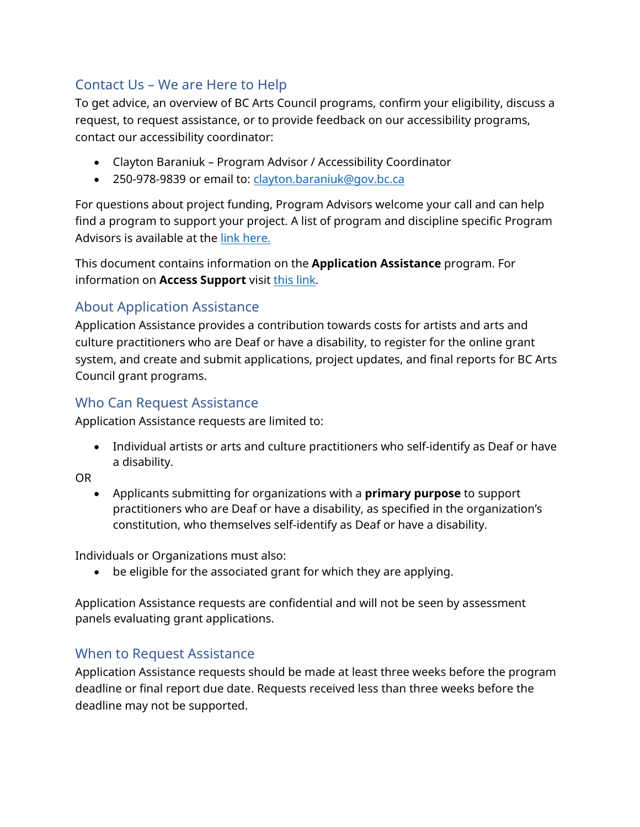# Contact Us – We are Here to Help

To get advice, an overview of BC Arts Council programs, confirm your eligibility, discuss a request, to request assistance, or to provide feedback on our accessibility programs, contact our accessibility coordinator:

- Clayton Baraniuk Program Advisor / Accessibility Coordinator
- 250-978-9839 or email to: [clayton.baraniuk@gov.bc.ca](mailto:clayton.baraniuk@gov.bc.ca)

For questions about project funding, Program Advisors welcome your call and can help find a program to support your project. A list of program and discipline specific Program Advisors is available at the [link here.](https://www.bcartscouncil.ca/about/staff-directory/)

This document contains information on the **Application Assistance** program. For information on **Access Support** visi[t this link.](https://www.bcartscouncil.ca/program/access-support/)

## About Application Assistance

Application Assistance provides a contribution towards costs for artists and arts and culture practitioners who are Deaf or have a disability, to register for the online grant system, and create and submit applications, project updates, and final reports for BC Arts Council grant programs.

## Who Can Request Assistance

Application Assistance requests are limited to:

• Individual artists or arts and culture practitioners who self-identify as Deaf or have a disability.

OR

• Applicants submitting for organizations with a **primary purpose** to support practitioners who are Deaf or have a disability, as specified in the organization's constitution, who themselves self-identify as Deaf or have a disability.

Individuals or Organizations must also:

• be eligible for the associated grant for which they are applying.

Application Assistance requests are confidential and will not be seen by assessment panels evaluating grant applications.

## When to Request Assistance

Application Assistance requests should be made at least three weeks before the program deadline or final report due date. Requests received less than three weeks before the deadline may not be supported.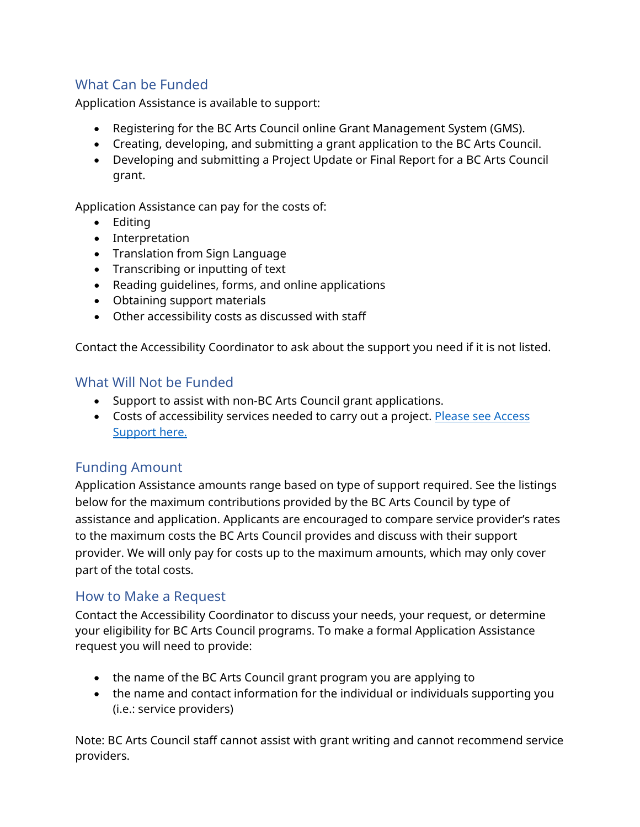# What Can be Funded

Application Assistance is available to support:

- Registering for the BC Arts Council online Grant Management System (GMS).
- Creating, developing, and submitting a grant application to the BC Arts Council.
- Developing and submitting a Project Update or Final Report for a BC Arts Council grant.

Application Assistance can pay for the costs of:

- Editing
- Interpretation
- Translation from Sign Language
- Transcribing or inputting of text
- Reading guidelines, forms, and online applications
- Obtaining support materials
- Other accessibility costs as discussed with staff

Contact the Accessibility Coordinator to ask about the support you need if it is not listed.

#### What Will Not be Funded

- Support to assist with non-BC Arts Council grant applications.
- Costs of accessibility services needed to carry out a project. Please see Access [Support](https://www.bcartscouncil.ca/program/access-support/) here.

## Funding Amount

Application Assistance amounts range based on type of support required. See the listings below for the maximum contributions provided by the BC Arts Council by type of assistance and application. Applicants are encouraged to compare service provider's rates to the maximum costs the BC Arts Council provides and discuss with their support provider. We will only pay for costs up to the maximum amounts, which may only cover part of the total costs.

#### How to Make a Request

Contact the Accessibility Coordinator to discuss your needs, your request, or determine your eligibility for BC Arts Council programs. To make a formal Application Assistance request you will need to provide:

- the name of the BC Arts Council grant program you are applying to
- the name and contact information for the individual or individuals supporting you (i.e.: service providers)

Note: BC Arts Council staff cannot assist with grant writing and cannot recommend service providers.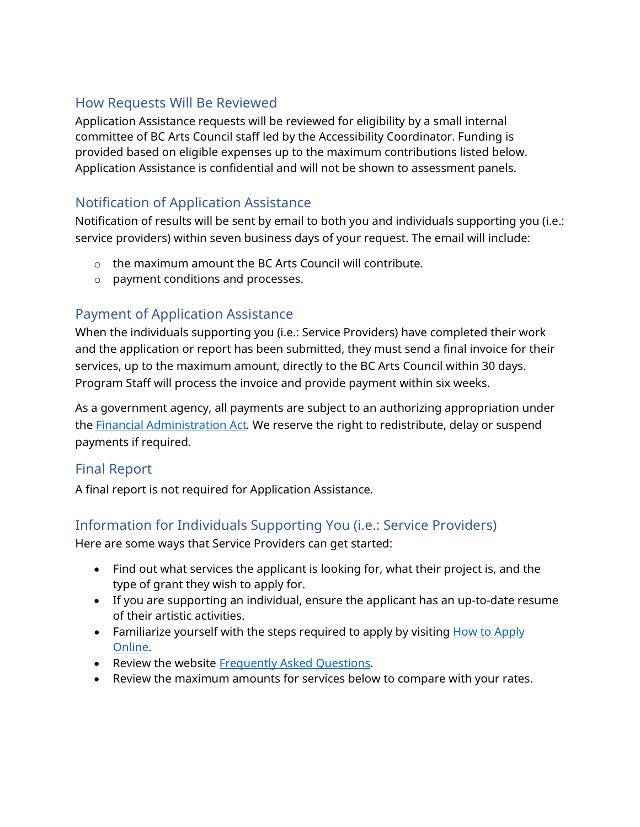## How Requests Will Be Reviewed

Application Assistance requests will be reviewed for eligibility by a small internal committee of BC Arts Council staff led by the Accessibility Coordinator. Funding is provided based on eligible expenses up to the maximum contributions listed below. Application Assistance is confidential and will not be shown to assessment panels.

# Notification of Application Assistance

Notification of results will be sent by email to both you and individuals supporting you (i.e.: service providers) within seven business days of your request. The email will include:

- o the maximum amount the BC Arts Council will contribute.
- o payment conditions and processes.

# Payment of Application Assistance

When the individuals supporting you (i.e.: Service Providers) have completed their work and the application or report has been submitted, they must send a final invoice for their services, up to the maximum amount, directly to the BC Arts Council within 30 days. Program Staff will process the invoice and provide payment within six weeks.

As a government agency, all payments are subject to an authorizing appropriation under the [Financial Administration Act](https://www.bclaws.gov.bc.ca/civix/document/id/complete/statreg/96138_01)*.* We reserve the right to redistribute, delay or suspend payments if required.

## Final Report

A final report is not required for Application Assistance.

# Information for Individuals Supporting You (i.e.: Service Providers)

Here are some ways that Service Providers can get started:

- Find out what services the applicant is looking for, what their project is, and the type of grant they wish to apply for.
- If you are supporting an individual, ensure the applicant has an up-to-date resume of their artistic activities.
- Familiarize yourself with the steps required to apply by visiting How to Apply [Online.](https://www.bcartscouncil.ca/how-to-apply-online/)
- Review the website [Frequently Asked Questions.](https://www.bcartscouncil.ca/faq/)
- Review the maximum amounts for services below to compare with your rates.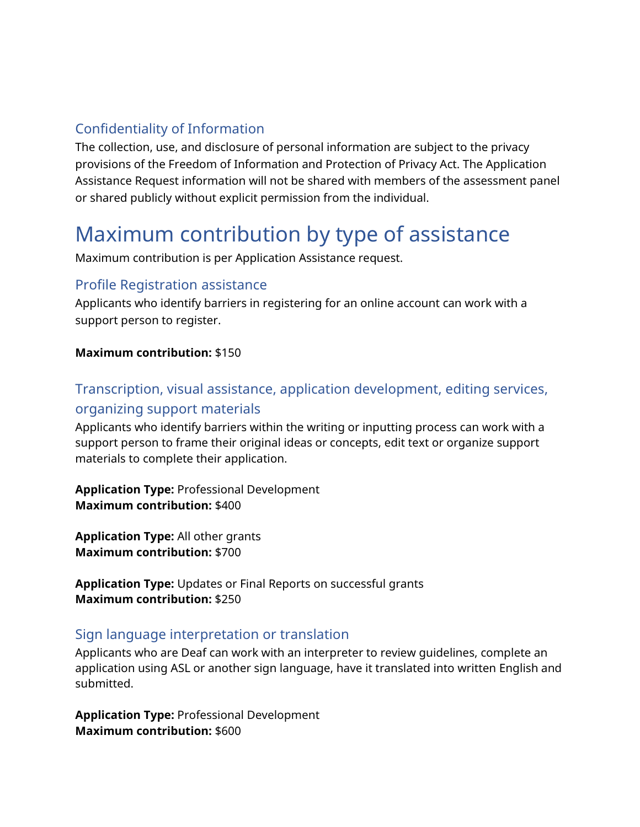# Confidentiality of Information

The collection, use, and disclosure of personal information are subject to the privacy provisions of the Freedom of Information and Protection of Privacy Act. The Application Assistance Request information will not be shared with members of the assessment panel or shared publicly without explicit permission from the individual.

# Maximum contribution by type of assistance

Maximum contribution is per Application Assistance request.

#### Profile Registration assistance

Applicants who identify barriers in registering for an online account can work with a support person to register.

#### **Maximum contribution:** \$150

# Transcription, visual assistance, application development, editing services, organizing support materials

Applicants who identify barriers within the writing or inputting process can work with a support person to frame their original ideas or concepts, edit text or organize support materials to complete their application.

**Application Type:** Professional Development **Maximum contribution:** \$400

**Application Type:** All other grants **Maximum contribution:** \$700

**Application Type:** Updates or Final Reports on successful grants **Maximum contribution:** \$250

## Sign language interpretation or translation

Applicants who are Deaf can work with an interpreter to review guidelines, complete an application using ASL or another sign language, have it translated into written English and submitted.

**Application Type:** Professional Development **Maximum contribution:** \$600